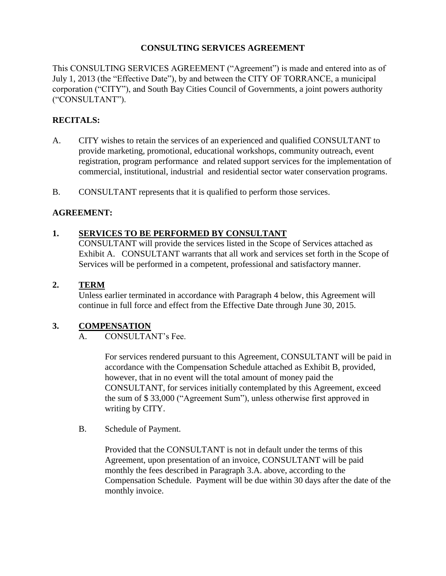## **CONSULTING SERVICES AGREEMENT**

This CONSULTING SERVICES AGREEMENT ("Agreement") is made and entered into as of July 1, 2013 (the "Effective Date"), by and between the CITY OF TORRANCE, a municipal corporation ("CITY"), and South Bay Cities Council of Governments, a joint powers authority ("CONSULTANT").

# **RECITALS:**

- A. CITY wishes to retain the services of an experienced and qualified CONSULTANT to provide marketing, promotional, educational workshops, community outreach, event registration, program performance and related support services for the implementation of commercial, institutional, industrial and residential sector water conservation programs.
- B. CONSULTANT represents that it is qualified to perform those services.

### **AGREEMENT:**

### **1. SERVICES TO BE PERFORMED BY CONSULTANT**

CONSULTANT will provide the services listed in the Scope of Services attached as Exhibit A. CONSULTANT warrants that all work and services set forth in the Scope of Services will be performed in a competent, professional and satisfactory manner.

#### **2. TERM**

Unless earlier terminated in accordance with Paragraph 4 below, this Agreement will continue in full force and effect from the Effective Date through June 30, 2015.

### **3. COMPENSATION**

A. CONSULTANT's Fee.

For services rendered pursuant to this Agreement, CONSULTANT will be paid in accordance with the Compensation Schedule attached as Exhibit B, provided, however, that in no event will the total amount of money paid the CONSULTANT, for services initially contemplated by this Agreement, exceed the sum of \$ 33,000 ("Agreement Sum"), unless otherwise first approved in writing by CITY.

B. Schedule of Payment.

Provided that the CONSULTANT is not in default under the terms of this Agreement, upon presentation of an invoice, CONSULTANT will be paid monthly the fees described in Paragraph 3.A. above, according to the Compensation Schedule. Payment will be due within 30 days after the date of the monthly invoice.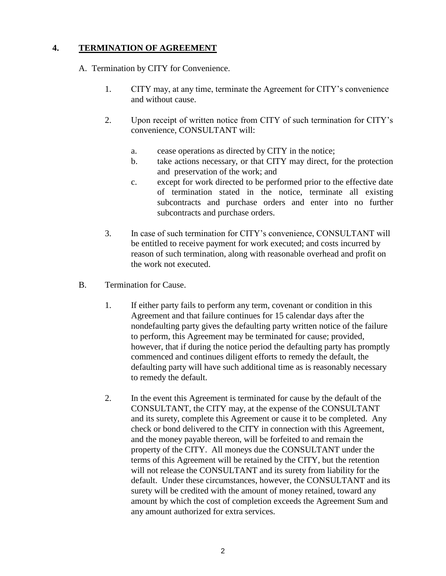## **4. TERMINATION OF AGREEMENT**

A. Termination by CITY for Convenience.

- 1. CITY may, at any time, terminate the Agreement for CITY's convenience and without cause.
- 2. Upon receipt of written notice from CITY of such termination for CITY's convenience, CONSULTANT will:
	- a. cease operations as directed by CITY in the notice;
	- b. take actions necessary, or that CITY may direct, for the protection and preservation of the work; and
	- c. except for work directed to be performed prior to the effective date of termination stated in the notice, terminate all existing subcontracts and purchase orders and enter into no further subcontracts and purchase orders.
- 3. In case of such termination for CITY's convenience, CONSULTANT will be entitled to receive payment for work executed; and costs incurred by reason of such termination, along with reasonable overhead and profit on the work not executed.
- B. Termination for Cause.
	- 1. If either party fails to perform any term, covenant or condition in this Agreement and that failure continues for 15 calendar days after the nondefaulting party gives the defaulting party written notice of the failure to perform, this Agreement may be terminated for cause; provided, however, that if during the notice period the defaulting party has promptly commenced and continues diligent efforts to remedy the default, the defaulting party will have such additional time as is reasonably necessary to remedy the default.
	- 2. In the event this Agreement is terminated for cause by the default of the CONSULTANT, the CITY may, at the expense of the CONSULTANT and its surety, complete this Agreement or cause it to be completed. Any check or bond delivered to the CITY in connection with this Agreement, and the money payable thereon, will be forfeited to and remain the property of the CITY. All moneys due the CONSULTANT under the terms of this Agreement will be retained by the CITY, but the retention will not release the CONSULTANT and its surety from liability for the default. Under these circumstances, however, the CONSULTANT and its surety will be credited with the amount of money retained, toward any amount by which the cost of completion exceeds the Agreement Sum and any amount authorized for extra services.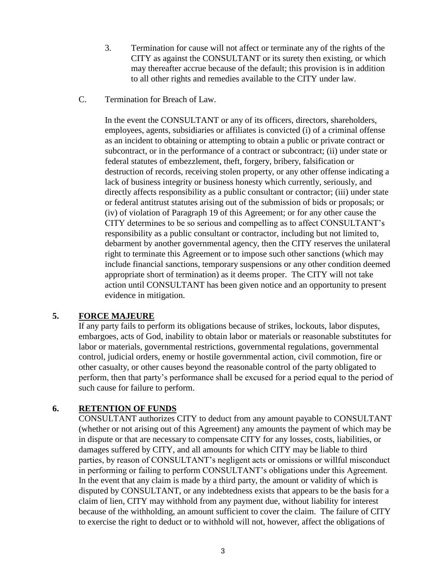- 3. Termination for cause will not affect or terminate any of the rights of the CITY as against the CONSULTANT or its surety then existing, or which may thereafter accrue because of the default; this provision is in addition to all other rights and remedies available to the CITY under law.
- C. Termination for Breach of Law.

In the event the CONSULTANT or any of its officers, directors, shareholders, employees, agents, subsidiaries or affiliates is convicted (i) of a criminal offense as an incident to obtaining or attempting to obtain a public or private contract or subcontract, or in the performance of a contract or subcontract; (ii) under state or federal statutes of embezzlement, theft, forgery, bribery, falsification or destruction of records, receiving stolen property, or any other offense indicating a lack of business integrity or business honesty which currently, seriously, and directly affects responsibility as a public consultant or contractor; (iii) under state or federal antitrust statutes arising out of the submission of bids or proposals; or (iv) of violation of Paragraph 19 of this Agreement; or for any other cause the CITY determines to be so serious and compelling as to affect CONSULTANT's responsibility as a public consultant or contractor, including but not limited to, debarment by another governmental agency, then the CITY reserves the unilateral right to terminate this Agreement or to impose such other sanctions (which may include financial sanctions, temporary suspensions or any other condition deemed appropriate short of termination) as it deems proper. The CITY will not take action until CONSULTANT has been given notice and an opportunity to present evidence in mitigation.

### **5. FORCE MAJEURE**

If any party fails to perform its obligations because of strikes, lockouts, labor disputes, embargoes, acts of God, inability to obtain labor or materials or reasonable substitutes for labor or materials, governmental restrictions, governmental regulations, governmental control, judicial orders, enemy or hostile governmental action, civil commotion, fire or other casualty, or other causes beyond the reasonable control of the party obligated to perform, then that party's performance shall be excused for a period equal to the period of such cause for failure to perform.

### **6. RETENTION OF FUNDS**

CONSULTANT authorizes CITY to deduct from any amount payable to CONSULTANT (whether or not arising out of this Agreement) any amounts the payment of which may be in dispute or that are necessary to compensate CITY for any losses, costs, liabilities, or damages suffered by CITY, and all amounts for which CITY may be liable to third parties, by reason of CONSULTANT's negligent acts or omissions or willful misconduct in performing or failing to perform CONSULTANT's obligations under this Agreement. In the event that any claim is made by a third party, the amount or validity of which is disputed by CONSULTANT, or any indebtedness exists that appears to be the basis for a claim of lien, CITY may withhold from any payment due, without liability for interest because of the withholding, an amount sufficient to cover the claim. The failure of CITY to exercise the right to deduct or to withhold will not, however, affect the obligations of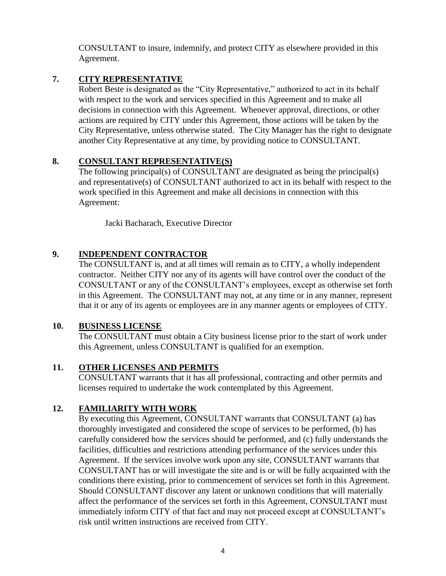CONSULTANT to insure, indemnify, and protect CITY as elsewhere provided in this Agreement.

### **7. CITY REPRESENTATIVE**

Robert Beste is designated as the "City Representative," authorized to act in its behalf with respect to the work and services specified in this Agreement and to make all decisions in connection with this Agreement. Whenever approval, directions, or other actions are required by CITY under this Agreement, those actions will be taken by the City Representative, unless otherwise stated. The City Manager has the right to designate another City Representative at any time, by providing notice to CONSULTANT.

### **8. CONSULTANT REPRESENTATIVE(S)**

The following principal(s) of CONSULTANT are designated as being the principal(s) and representative(s) of CONSULTANT authorized to act in its behalf with respect to the work specified in this Agreement and make all decisions in connection with this Agreement:

Jacki Bacharach, Executive Director

# **9. INDEPENDENT CONTRACTOR**

The CONSULTANT is, and at all times will remain as to CITY, a wholly independent contractor. Neither CITY nor any of its agents will have control over the conduct of the CONSULTANT or any of the CONSULTANT's employees, except as otherwise set forth in this Agreement. The CONSULTANT may not, at any time or in any manner, represent that it or any of its agents or employees are in any manner agents or employees of CITY.

### **10. BUSINESS LICENSE**

The CONSULTANT must obtain a City business license prior to the start of work under this Agreement, unless CONSULTANT is qualified for an exemption.

### **11. OTHER LICENSES AND PERMITS**

CONSULTANT warrants that it has all professional, contracting and other permits and licenses required to undertake the work contemplated by this Agreement.

### **12. FAMILIARITY WITH WORK**

By executing this Agreement, CONSULTANT warrants that CONSULTANT (a) has thoroughly investigated and considered the scope of services to be performed, (b) has carefully considered how the services should be performed, and (c) fully understands the facilities, difficulties and restrictions attending performance of the services under this Agreement. If the services involve work upon any site, CONSULTANT warrants that CONSULTANT has or will investigate the site and is or will be fully acquainted with the conditions there existing, prior to commencement of services set forth in this Agreement. Should CONSULTANT discover any latent or unknown conditions that will materially affect the performance of the services set forth in this Agreement, CONSULTANT must immediately inform CITY of that fact and may not proceed except at CONSULTANT's risk until written instructions are received from CITY.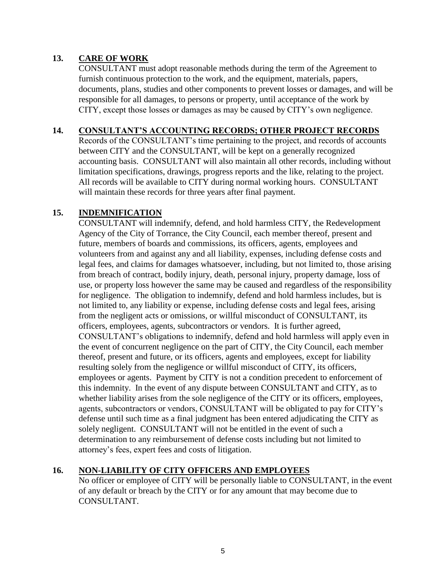## **13. CARE OF WORK**

CONSULTANT must adopt reasonable methods during the term of the Agreement to furnish continuous protection to the work, and the equipment, materials, papers, documents, plans, studies and other components to prevent losses or damages, and will be responsible for all damages, to persons or property, until acceptance of the work by CITY, except those losses or damages as may be caused by CITY's own negligence.

### **14. CONSULTANT'S ACCOUNTING RECORDS; OTHER PROJECT RECORDS**

Records of the CONSULTANT's time pertaining to the project, and records of accounts between CITY and the CONSULTANT, will be kept on a generally recognized accounting basis. CONSULTANT will also maintain all other records, including without limitation specifications, drawings, progress reports and the like, relating to the project. All records will be available to CITY during normal working hours. CONSULTANT will maintain these records for three years after final payment.

### **15. INDEMNIFICATION**

CONSULTANT will indemnify, defend, and hold harmless CITY, the Redevelopment Agency of the City of Torrance, the City Council, each member thereof, present and future, members of boards and commissions, its officers, agents, employees and volunteers from and against any and all liability, expenses, including defense costs and legal fees, and claims for damages whatsoever, including, but not limited to, those arising from breach of contract, bodily injury, death, personal injury, property damage, loss of use, or property loss however the same may be caused and regardless of the responsibility for negligence. The obligation to indemnify, defend and hold harmless includes, but is not limited to, any liability or expense, including defense costs and legal fees, arising from the negligent acts or omissions, or willful misconduct of CONSULTANT, its officers, employees, agents, subcontractors or vendors. It is further agreed, CONSULTANT's obligations to indemnify, defend and hold harmless will apply even in the event of concurrent negligence on the part of CITY, the City Council, each member thereof, present and future, or its officers, agents and employees, except for liability resulting solely from the negligence or willful misconduct of CITY, its officers, employees or agents. Payment by CITY is not a condition precedent to enforcement of this indemnity. In the event of any dispute between CONSULTANT and CITY, as to whether liability arises from the sole negligence of the CITY or its officers, employees, agents, subcontractors or vendors, CONSULTANT will be obligated to pay for CITY's defense until such time as a final judgment has been entered adjudicating the CITY as solely negligent. CONSULTANT will not be entitled in the event of such a determination to any reimbursement of defense costs including but not limited to attorney's fees, expert fees and costs of litigation.

# **16. NON-LIABILITY OF CITY OFFICERS AND EMPLOYEES**

No officer or employee of CITY will be personally liable to CONSULTANT, in the event of any default or breach by the CITY or for any amount that may become due to CONSULTANT.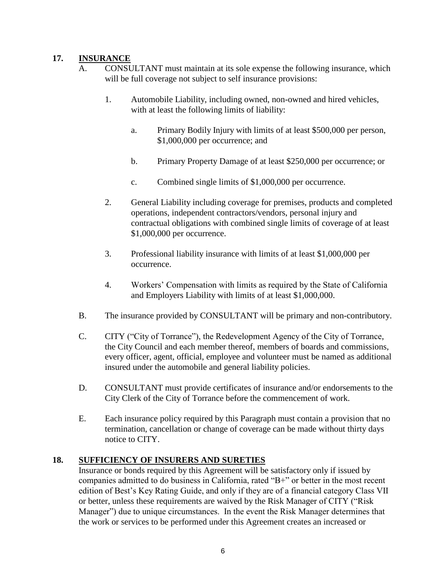# **17. INSURANCE**

- A. CONSULTANT must maintain at its sole expense the following insurance, which will be full coverage not subject to self insurance provisions:
	- 1. Automobile Liability, including owned, non-owned and hired vehicles, with at least the following limits of liability:
		- a. Primary Bodily Injury with limits of at least \$500,000 per person, \$1,000,000 per occurrence; and
		- b. Primary Property Damage of at least \$250,000 per occurrence; or
		- c. Combined single limits of \$1,000,000 per occurrence.
	- 2. General Liability including coverage for premises, products and completed operations, independent contractors/vendors, personal injury and contractual obligations with combined single limits of coverage of at least \$1,000,000 per occurrence.
	- 3. Professional liability insurance with limits of at least \$1,000,000 per occurrence.
	- 4. Workers' Compensation with limits as required by the State of California and Employers Liability with limits of at least \$1,000,000.
- B. The insurance provided by CONSULTANT will be primary and non-contributory.
- C. CITY ("City of Torrance"), the Redevelopment Agency of the City of Torrance, the City Council and each member thereof, members of boards and commissions, every officer, agent, official, employee and volunteer must be named as additional insured under the automobile and general liability policies.
- D. CONSULTANT must provide certificates of insurance and/or endorsements to the City Clerk of the City of Torrance before the commencement of work.
- E. Each insurance policy required by this Paragraph must contain a provision that no termination, cancellation or change of coverage can be made without thirty days notice to CITY.

# **18. SUFFICIENCY OF INSURERS AND SURETIES**

Insurance or bonds required by this Agreement will be satisfactory only if issued by companies admitted to do business in California, rated "B+" or better in the most recent edition of Best's Key Rating Guide, and only if they are of a financial category Class VII or better, unless these requirements are waived by the Risk Manager of CITY ("Risk Manager") due to unique circumstances. In the event the Risk Manager determines that the work or services to be performed under this Agreement creates an increased or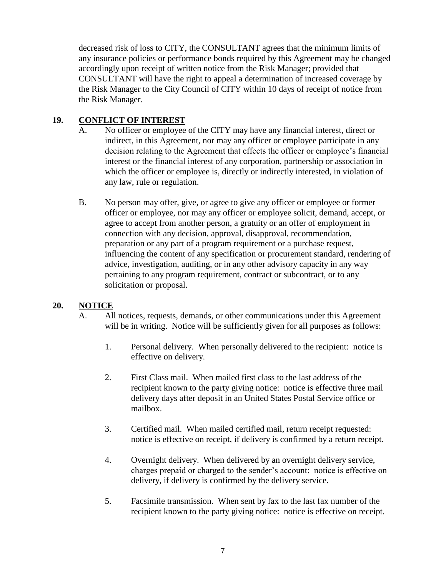decreased risk of loss to CITY, the CONSULTANT agrees that the minimum limits of any insurance policies or performance bonds required by this Agreement may be changed accordingly upon receipt of written notice from the Risk Manager; provided that CONSULTANT will have the right to appeal a determination of increased coverage by the Risk Manager to the City Council of CITY within 10 days of receipt of notice from the Risk Manager.

### **19. CONFLICT OF INTEREST**

- A. No officer or employee of the CITY may have any financial interest, direct or indirect, in this Agreement, nor may any officer or employee participate in any decision relating to the Agreement that effects the officer or employee's financial interest or the financial interest of any corporation, partnership or association in which the officer or employee is, directly or indirectly interested, in violation of any law, rule or regulation.
- B. No person may offer, give, or agree to give any officer or employee or former officer or employee, nor may any officer or employee solicit, demand, accept, or agree to accept from another person, a gratuity or an offer of employment in connection with any decision, approval, disapproval, recommendation, preparation or any part of a program requirement or a purchase request, influencing the content of any specification or procurement standard, rendering of advice, investigation, auditing, or in any other advisory capacity in any way pertaining to any program requirement, contract or subcontract, or to any solicitation or proposal.

# **20. NOTICE**

- A. All notices, requests, demands, or other communications under this Agreement will be in writing. Notice will be sufficiently given for all purposes as follows:
	- 1. Personal delivery. When personally delivered to the recipient: notice is effective on delivery.
	- 2. First Class mail. When mailed first class to the last address of the recipient known to the party giving notice: notice is effective three mail delivery days after deposit in an United States Postal Service office or mailbox.
	- 3. Certified mail. When mailed certified mail, return receipt requested: notice is effective on receipt, if delivery is confirmed by a return receipt.
	- 4. Overnight delivery. When delivered by an overnight delivery service, charges prepaid or charged to the sender's account: notice is effective on delivery, if delivery is confirmed by the delivery service.
	- 5. Facsimile transmission. When sent by fax to the last fax number of the recipient known to the party giving notice: notice is effective on receipt.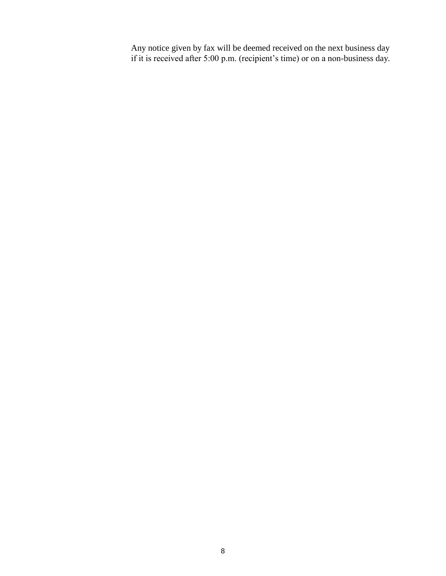Any notice given by fax will be deemed received on the next business day if it is received after 5:00 p.m. (recipient's time) or on a non-business day.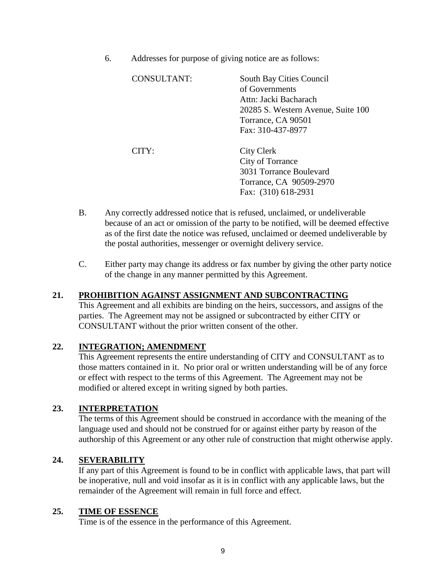6. Addresses for purpose of giving notice are as follows:

| CONSULTANT:      | South Bay Cities Council<br>of Governments<br>Attn: Jacki Bacharach<br>20285 S. Western Avenue, Suite 100<br>Torrance, CA 90501<br>Fax: 310-437-8977 |
|------------------|------------------------------------------------------------------------------------------------------------------------------------------------------|
| $CITY^{\dagger}$ | City Clerk<br>City of Torrance<br>3031 Torrance Boulevard<br>Torrance, CA 90509-2970<br>Fax: (310) 618-2931                                          |

- B. Any correctly addressed notice that is refused, unclaimed, or undeliverable because of an act or omission of the party to be notified, will be deemed effective as of the first date the notice was refused, unclaimed or deemed undeliverable by the postal authorities, messenger or overnight delivery service.
- C. Either party may change its address or fax number by giving the other party notice of the change in any manner permitted by this Agreement.

### **21. PROHIBITION AGAINST ASSIGNMENT AND SUBCONTRACTING**

This Agreement and all exhibits are binding on the heirs, successors, and assigns of the parties. The Agreement may not be assigned or subcontracted by either CITY or CONSULTANT without the prior written consent of the other.

### **22. INTEGRATION; AMENDMENT**

This Agreement represents the entire understanding of CITY and CONSULTANT as to those matters contained in it. No prior oral or written understanding will be of any force or effect with respect to the terms of this Agreement. The Agreement may not be modified or altered except in writing signed by both parties.

### **23. INTERPRETATION**

The terms of this Agreement should be construed in accordance with the meaning of the language used and should not be construed for or against either party by reason of the authorship of this Agreement or any other rule of construction that might otherwise apply.

### **24. SEVERABILITY**

If any part of this Agreement is found to be in conflict with applicable laws, that part will be inoperative, null and void insofar as it is in conflict with any applicable laws, but the remainder of the Agreement will remain in full force and effect.

### **25. TIME OF ESSENCE**

Time is of the essence in the performance of this Agreement.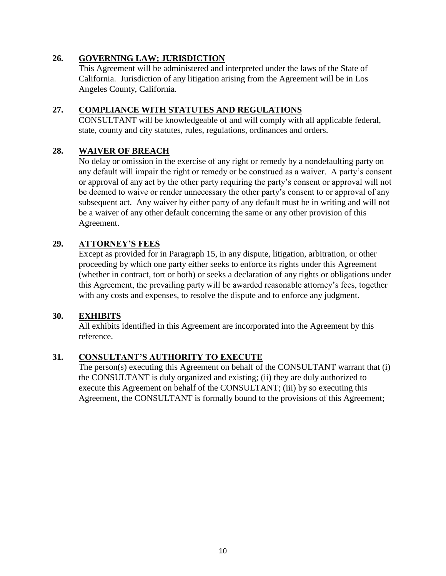## **26. GOVERNING LAW; JURISDICTION**

This Agreement will be administered and interpreted under the laws of the State of California. Jurisdiction of any litigation arising from the Agreement will be in Los Angeles County, California.

### **27. COMPLIANCE WITH STATUTES AND REGULATIONS**

CONSULTANT will be knowledgeable of and will comply with all applicable federal, state, county and city statutes, rules, regulations, ordinances and orders.

### **28. WAIVER OF BREACH**

No delay or omission in the exercise of any right or remedy by a nondefaulting party on any default will impair the right or remedy or be construed as a waiver. A party's consent or approval of any act by the other party requiring the party's consent or approval will not be deemed to waive or render unnecessary the other party's consent to or approval of any subsequent act. Any waiver by either party of any default must be in writing and will not be a waiver of any other default concerning the same or any other provision of this Agreement.

### **29. ATTORNEY'S FEES**

Except as provided for in Paragraph 15, in any dispute, litigation, arbitration, or other proceeding by which one party either seeks to enforce its rights under this Agreement (whether in contract, tort or both) or seeks a declaration of any rights or obligations under this Agreement, the prevailing party will be awarded reasonable attorney's fees, together with any costs and expenses, to resolve the dispute and to enforce any judgment.

### **30. EXHIBITS**

All exhibits identified in this Agreement are incorporated into the Agreement by this reference.

# **31. CONSULTANT'S AUTHORITY TO EXECUTE**

The person(s) executing this Agreement on behalf of the CONSULTANT warrant that (i) the CONSULTANT is duly organized and existing; (ii) they are duly authorized to execute this Agreement on behalf of the CONSULTANT; (iii) by so executing this Agreement, the CONSULTANT is formally bound to the provisions of this Agreement;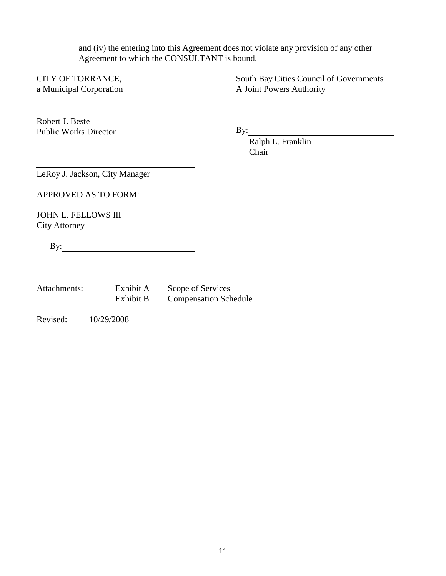and (iv) the entering into this Agreement does not violate any provision of any other Agreement to which the CONSULTANT is bound.

CITY OF TORRANCE, a Municipal Corporation South Bay Cities Council of Governments A Joint Powers Authority

Robert J. Beste Public Works Director

By:

Ralph L. Franklin Chair

LeRoy J. Jackson, City Manager

APPROVED AS TO FORM:

JOHN L. FELLOWS III City Attorney

By:

| Attachments: | Exhibit A | Scope of Services            |
|--------------|-----------|------------------------------|
|              | Exhibit B | <b>Compensation Schedule</b> |

Revised: 10/29/2008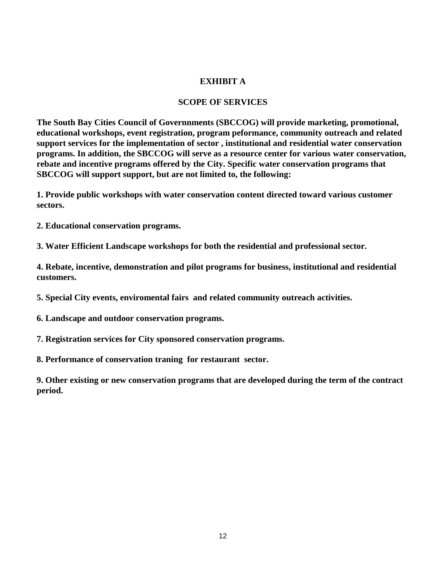#### **EXHIBIT A**

#### **SCOPE OF SERVICES**

**The South Bay Cities Council of Governnments (SBCCOG) will provide marketing, promotional, educational workshops, event registration, program peformance, community outreach and related support services for the implementation of sector , institutional and residential water conservation programs. In addition, the SBCCOG will serve as a resource center for various water conservation, rebate and incentive programs offered by the City. Specific water conservation programs that SBCCOG will support support, but are not limited to, the following:** 

**1. Provide public workshops with water conservation content directed toward various customer sectors.**

**2. Educational conservation programs.**

**3. Water Efficient Landscape workshops for both the residential and professional sector.**

**4. Rebate, incentive, demonstration and pilot programs for business, institutional and residential customers.**

**5. Special City events, enviromental fairs and related community outreach activities.**

**6. Landscape and outdoor conservation programs.**

**7. Registration services for City sponsored conservation programs.**

**8. Performance of conservation traning for restaurant sector.** 

**9. Other existing or new conservation programs that are developed during the term of the contract period.**